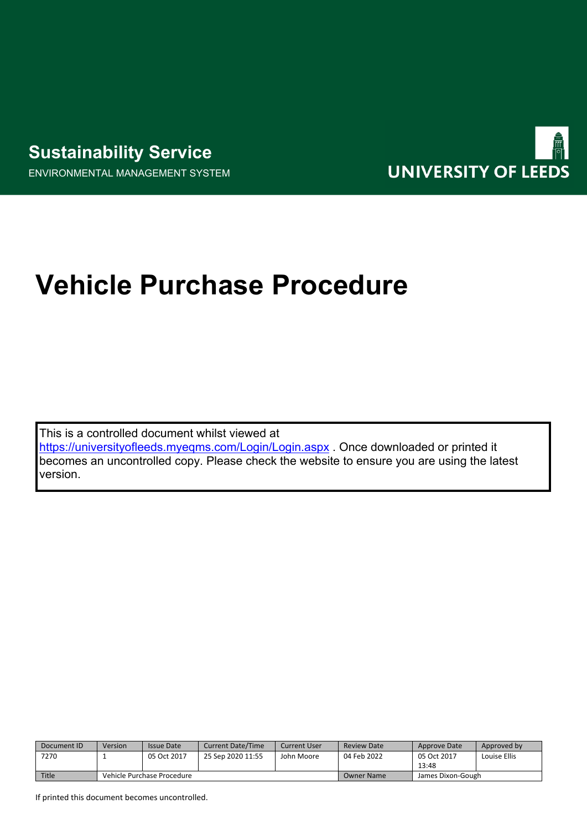ENVIRONMENTAL MANAGEMENT SYSTEM



## **Vehicle Purchase Procedure**

This is a controlled document whilst viewed at <https://universityofleeds.myeqms.com/Login/Login.aspx> . Once downloaded or printed it becomes an uncontrolled copy. Please check the website to ensure you are using the latest version.

| Document ID | Version                    | <b>Issue Date</b> | <b>Current Date/Time</b> | Current User | Review Date | Approve Date      | Approved by  |
|-------------|----------------------------|-------------------|--------------------------|--------------|-------------|-------------------|--------------|
| 7270        |                            | 05 Oct 2017       | 25 Sep 2020 11:55        | John Moore   | 04 Feb 2022 | 05 Oct 2017       | Louise Ellis |
|             |                            |                   |                          |              |             | 13:48             |              |
| Title       | Vehicle Purchase Procedure |                   |                          |              | Owner Name  | James Dixon-Gough |              |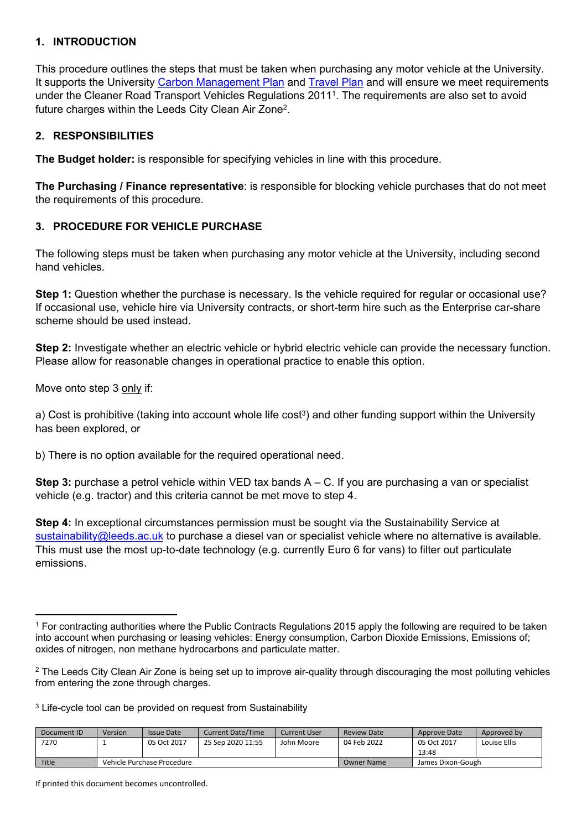## **1. INTRODUCTION**

This procedure outlines the steps that must be taken when purchasing any motor vehicle at the University. It supports the University [Carbon Management Plan](http://sustainability.leeds.ac.uk/policy-documents/) and [Travel Plan](http://sustainability.leeds.ac.uk/policy-documents/) and will ensure we meet requirements under the Cleaner Road Transport Vehicles Regulations 2011<sup>1</sup> . The requirements are also set to avoid future charges within the Leeds City Clean Air Zone<sup>2</sup>.

## **2. RESPONSIBILITIES**

**The Budget holder:** is responsible for specifying vehicles in line with this procedure.

**The Purchasing / Finance representative**: is responsible for blocking vehicle purchases that do not meet the requirements of this procedure.

## **3. PROCEDURE FOR VEHICLE PURCHASE**

The following steps must be taken when purchasing any motor vehicle at the University, including second hand vehicles.

**Step 1:** Question whether the purchase is necessary. Is the vehicle required for regular or occasional use? If occasional use, vehicle hire via University contracts, or short-term hire such as the Enterprise car-share scheme should be used instead.

**Step 2:** Investigate whether an electric vehicle or hybrid electric vehicle can provide the necessary function. Please allow for reasonable changes in operational practice to enable this option.

Move onto step 3 only if:

a) Cost is prohibitive (taking into account whole life cost<sup>3</sup>) and other funding support within the University has been explored, or

b) There is no option available for the required operational need.

**Step 3:** purchase a petrol vehicle within VED tax bands A – C. If you are purchasing a van or specialist vehicle (e.g. tractor) and this criteria cannot be met move to step 4.

**Step 4:** In exceptional circumstances permission must be sought via the Sustainability Service at [sustainability@leeds.ac.uk](mailto:sustainability@leeds.ac.uk) to purchase a diesel van or specialist vehicle where no alternative is available. This must use the most up-to-date technology (e.g. currently Euro 6 for vans) to filter out particulate emissions.

<sup>&</sup>lt;sup>3</sup> Life-cycle tool can be provided on request from Sustainability

| Document ID | Version                    | <b>Issue Date</b> | <b>Current Date/Time</b> | Current User | <b>Review Date</b> | Approve Date      | Approved by  |
|-------------|----------------------------|-------------------|--------------------------|--------------|--------------------|-------------------|--------------|
| 7270        |                            | 05 Oct 2017       | 25 Sep 2020 11:55        | John Moore   | 04 Feb 2022        | 05 Oct 2017       | Louise Ellis |
|             |                            |                   |                          |              |                    | 13:48             |              |
| Title       | Vehicle Purchase Procedure |                   |                          |              | Owner Name         | James Dixon-Gough |              |

If printed this document becomes uncontrolled.

<sup>1</sup> For contracting authorities where the Public Contracts Regulations 2015 apply the following are required to be taken into account when purchasing or leasing vehicles: Energy consumption, Carbon Dioxide Emissions, Emissions of; oxides of nitrogen, non methane hydrocarbons and particulate matter.

 $2$  The Leeds City Clean Air Zone is being set up to improve air-quality through discouraging the most polluting vehicles from entering the zone through charges.